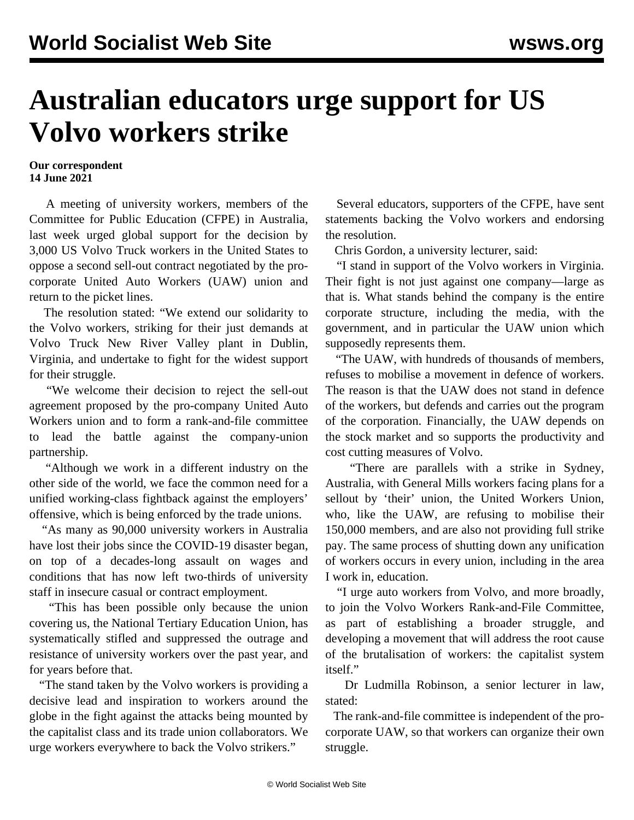## **Australian educators urge support for US Volvo workers strike**

## **Our correspondent 14 June 2021**

 A meeting of university workers, members of the Committee for Public Education (CFPE) in Australia, last week urged global support for the decision by 3,000 US Volvo Truck workers in the United States to oppose a second sell-out contract negotiated by the procorporate United Auto Workers (UAW) union and return to the picket lines.

 The resolution stated: "We extend our solidarity to the Volvo workers, striking for their just demands at Volvo Truck New River Valley plant in Dublin, Virginia, and undertake to fight for the widest support for their struggle.

 "We welcome their decision to reject the sell-out agreement proposed by the pro-company United Auto Workers union and to form a rank-and-file committee to lead the battle against the company-union partnership.

 "Although we work in a different industry on the other side of the world, we face the common need for a unified working-class fightback against the employers' offensive, which is being enforced by the trade unions.

 "As many as 90,000 university workers in Australia have lost their jobs since the COVID-19 disaster began, on top of a decades-long assault on wages and conditions that has now left two-thirds of university staff in insecure casual or contract employment.

 "This has been possible only because the union covering us, the National Tertiary Education Union, has systematically stifled and suppressed the outrage and resistance of university workers over the past year, and for years before that.

 "The stand taken by the Volvo workers is providing a decisive lead and inspiration to workers around the globe in the fight against the attacks being mounted by the capitalist class and its trade union collaborators. We urge workers everywhere to back the Volvo strikers."

 Several educators, supporters of the CFPE, have sent statements backing the Volvo workers and endorsing the resolution.

Chris Gordon, a university lecturer, said:

 "I stand in support of the Volvo workers in Virginia. Their fight is not just against one company—large as that is. What stands behind the company is the entire corporate structure, including the media, with the government, and in particular the UAW union which supposedly represents them.

 "The UAW, with hundreds of thousands of members, refuses to mobilise a movement in defence of workers. The reason is that the UAW does not stand in defence of the workers, but defends and carries out the program of the corporation. Financially, the UAW depends on the stock market and so supports the productivity and cost cutting measures of Volvo.

 "There are parallels with a strike in Sydney, Australia, with General Mills workers facing plans for a sellout by 'their' union, the United Workers Union, who, like the UAW, are refusing to mobilise their 150,000 members, and are also not providing full strike pay. The same process of shutting down any unification of workers occurs in every union, including in the area I work in, education.

 "I urge auto workers from Volvo, and more broadly, to join the Volvo Workers Rank-and-File Committee, as part of establishing a broader struggle, and developing a movement that will address the root cause of the brutalisation of workers: the capitalist system itself."

 Dr Ludmilla Robinson, a senior lecturer in law, stated:

 The rank-and-file committee is independent of the procorporate UAW, so that workers can organize their own struggle.